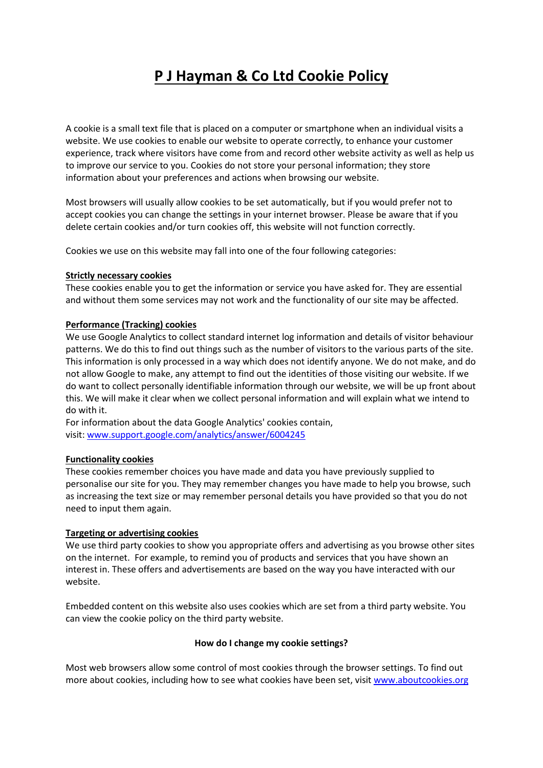# **P J Hayman & Co Ltd Cookie Policy**

A cookie is a small text file that is placed on a computer or smartphone when an individual visits a website. We use cookies to enable our website to operate correctly, to enhance your customer experience, track where visitors have come from and record other website activity as well as help us to improve our service to you. Cookies do not store your personal information; they store information about your preferences and actions when browsing our website.

Most browsers will usually allow cookies to be set automatically, but if you would prefer not to accept cookies you can change the settings in your internet browser. Please be aware that if you delete certain cookies and/or turn cookies off, this website will not function correctly.

Cookies we use on this website may fall into one of the four following categories:

#### **Strictly necessary cookies**

These cookies enable you to get the information or service you have asked for. They are essential and without them some services may not work and the functionality of our site may be affected.

## **Performance (Tracking) cookies**

We use Google Analytics to collect standard internet log information and details of visitor behaviour patterns. We do this to find out things such as the number of visitors to the various parts of the site. This information is only processed in a way which does not identify anyone. We do not make, and do not allow Google to make, any attempt to find out the identities of those visiting our website. If we do want to collect personally identifiable information through our website, we will be up front about this. We will make it clear when we collect personal information and will explain what we intend to do with it.

For information about the data Google Analytics' cookies contain, visit: [www.support.google.com/analytics/answer/6004245](http://www.support.google.com/analytics/answer/6004245)

## **Functionality cookies**

These cookies remember choices you have made and data you have previously supplied to personalise our site for you. They may remember changes you have made to help you browse, such as increasing the text size or may remember personal details you have provided so that you do not need to input them again.

#### **Targeting or advertising cookies**

We use third party cookies to show you appropriate offers and advertising as you browse other sites on the internet. For example, to remind you of products and services that you have shown an interest in. These offers and advertisements are based on the way you have interacted with our website.

Embedded content on this website also uses cookies which are set from a third party website. You can view the cookie policy on the third party website.

#### **How do I change my cookie settings?**

Most web browsers allow some control of most cookies through the browser settings. To find out more about cookies, including how to see what cookies have been set, visit [www.aboutcookies.org](http://www.aboutcookies.org/)